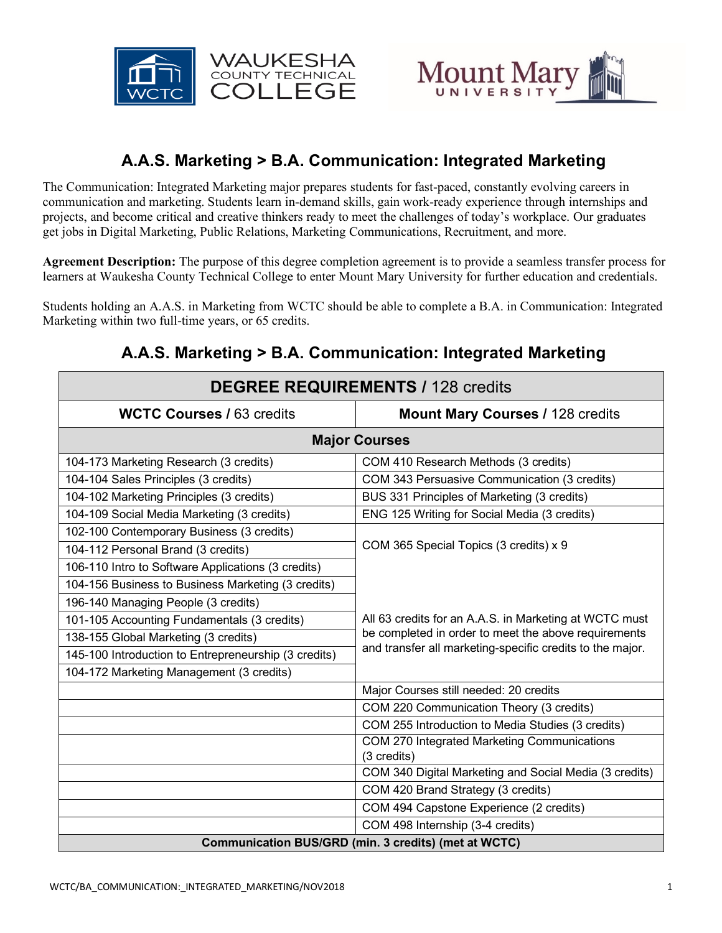



# **A.A.S. Marketing > B.A. Communication: Integrated Marketing**

The Communication: Integrated Marketing major prepares students for fast-paced, constantly evolving careers in communication and marketing. Students learn in-demand skills, gain work-ready experience through internships and projects, and become critical and creative thinkers ready to meet the challenges of today's workplace. Our graduates get jobs in Digital Marketing, Public Relations, Marketing Communications, Recruitment, and more.

**Agreement Description:** The purpose of this degree completion agreement is to provide a seamless transfer process for learners at Waukesha County Technical College to enter Mount Mary University for further education and credentials.

Students holding an A.A.S. in Marketing from WCTC should be able to complete a B.A. in Communication: Integrated Marketing within two full-time years, or 65 credits.

| <b>DEGREE REQUIREMENTS / 128 credits</b>             |                                                                                                                                                                                                                       |
|------------------------------------------------------|-----------------------------------------------------------------------------------------------------------------------------------------------------------------------------------------------------------------------|
| <b>WCTC Courses / 63 credits</b>                     | <b>Mount Mary Courses / 128 credits</b>                                                                                                                                                                               |
| <b>Major Courses</b>                                 |                                                                                                                                                                                                                       |
| 104-173 Marketing Research (3 credits)               | COM 410 Research Methods (3 credits)                                                                                                                                                                                  |
| 104-104 Sales Principles (3 credits)                 | COM 343 Persuasive Communication (3 credits)                                                                                                                                                                          |
| 104-102 Marketing Principles (3 credits)             | BUS 331 Principles of Marketing (3 credits)                                                                                                                                                                           |
| 104-109 Social Media Marketing (3 credits)           | ENG 125 Writing for Social Media (3 credits)                                                                                                                                                                          |
| 102-100 Contemporary Business (3 credits)            | COM 365 Special Topics (3 credits) x 9<br>All 63 credits for an A.A.S. in Marketing at WCTC must<br>be completed in order to meet the above requirements<br>and transfer all marketing-specific credits to the major. |
| 104-112 Personal Brand (3 credits)                   |                                                                                                                                                                                                                       |
| 106-110 Intro to Software Applications (3 credits)   |                                                                                                                                                                                                                       |
| 104-156 Business to Business Marketing (3 credits)   |                                                                                                                                                                                                                       |
| 196-140 Managing People (3 credits)                  |                                                                                                                                                                                                                       |
| 101-105 Accounting Fundamentals (3 credits)          |                                                                                                                                                                                                                       |
| 138-155 Global Marketing (3 credits)                 |                                                                                                                                                                                                                       |
| 145-100 Introduction to Entrepreneurship (3 credits) |                                                                                                                                                                                                                       |
| 104-172 Marketing Management (3 credits)             |                                                                                                                                                                                                                       |
|                                                      | Major Courses still needed: 20 credits                                                                                                                                                                                |
|                                                      | COM 220 Communication Theory (3 credits)                                                                                                                                                                              |
|                                                      | COM 255 Introduction to Media Studies (3 credits)                                                                                                                                                                     |
|                                                      | COM 270 Integrated Marketing Communications<br>(3 credits)                                                                                                                                                            |
|                                                      | COM 340 Digital Marketing and Social Media (3 credits)                                                                                                                                                                |
|                                                      | COM 420 Brand Strategy (3 credits)                                                                                                                                                                                    |
|                                                      | COM 494 Capstone Experience (2 credits)                                                                                                                                                                               |
|                                                      | COM 498 Internship (3-4 credits)                                                                                                                                                                                      |
| Communication BUS/GRD (min. 3 credits) (met at WCTC) |                                                                                                                                                                                                                       |

# **A.A.S. Marketing > B.A. Communication: Integrated Marketing**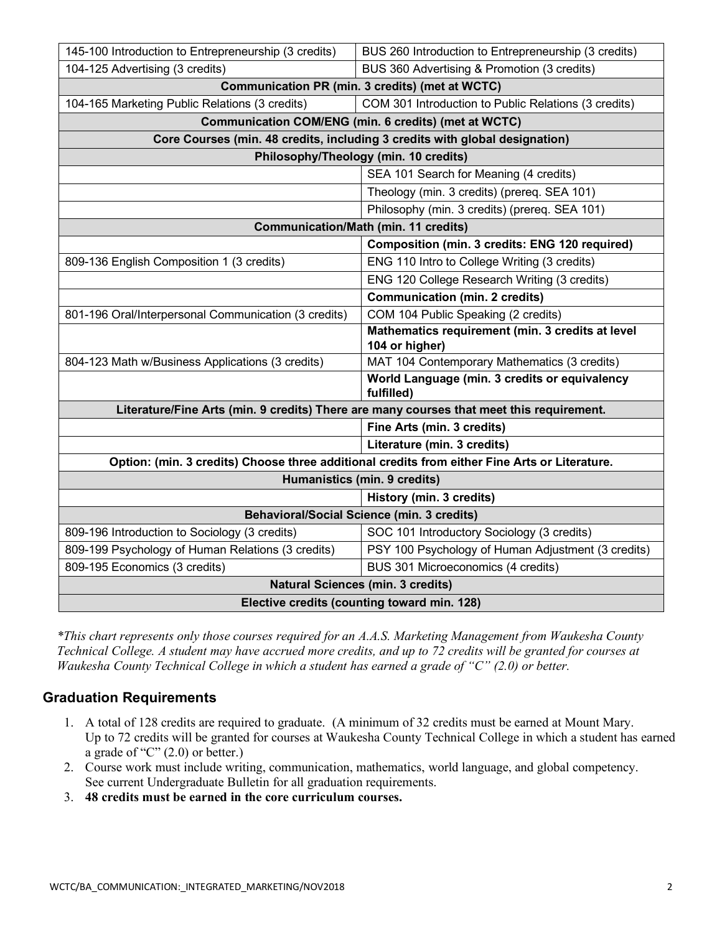| 145-100 Introduction to Entrepreneurship (3 credits)                                          | BUS 260 Introduction to Entrepreneurship (3 credits)               |
|-----------------------------------------------------------------------------------------------|--------------------------------------------------------------------|
| 104-125 Advertising (3 credits)                                                               | BUS 360 Advertising & Promotion (3 credits)                        |
| <b>Communication PR (min. 3 credits) (met at WCTC)</b>                                        |                                                                    |
| 104-165 Marketing Public Relations (3 credits)                                                | COM 301 Introduction to Public Relations (3 credits)               |
| Communication COM/ENG (min. 6 credits) (met at WCTC)                                          |                                                                    |
| Core Courses (min. 48 credits, including 3 credits with global designation)                   |                                                                    |
| Philosophy/Theology (min. 10 credits)                                                         |                                                                    |
|                                                                                               | SEA 101 Search for Meaning (4 credits)                             |
|                                                                                               | Theology (min. 3 credits) (prereq. SEA 101)                        |
|                                                                                               | Philosophy (min. 3 credits) (prereq. SEA 101)                      |
| <b>Communication/Math (min. 11 credits)</b>                                                   |                                                                    |
|                                                                                               | Composition (min. 3 credits: ENG 120 required)                     |
| 809-136 English Composition 1 (3 credits)                                                     | ENG 110 Intro to College Writing (3 credits)                       |
|                                                                                               | ENG 120 College Research Writing (3 credits)                       |
|                                                                                               | <b>Communication (min. 2 credits)</b>                              |
| 801-196 Oral/Interpersonal Communication (3 credits)                                          | COM 104 Public Speaking (2 credits)                                |
|                                                                                               | Mathematics requirement (min. 3 credits at level<br>104 or higher) |
| 804-123 Math w/Business Applications (3 credits)                                              | MAT 104 Contemporary Mathematics (3 credits)                       |
|                                                                                               | World Language (min. 3 credits or equivalency<br>fulfilled)        |
| Literature/Fine Arts (min. 9 credits) There are many courses that meet this requirement.      |                                                                    |
|                                                                                               | Fine Arts (min. 3 credits)                                         |
|                                                                                               | Literature (min. 3 credits)                                        |
| Option: (min. 3 credits) Choose three additional credits from either Fine Arts or Literature. |                                                                    |
| Humanistics (min. 9 credits)                                                                  |                                                                    |
|                                                                                               | History (min. 3 credits)                                           |
| <b>Behavioral/Social Science (min. 3 credits)</b>                                             |                                                                    |
| 809-196 Introduction to Sociology (3 credits)                                                 | SOC 101 Introductory Sociology (3 credits)                         |
| 809-199 Psychology of Human Relations (3 credits)                                             | PSY 100 Psychology of Human Adjustment (3 credits)                 |
| 809-195 Economics (3 credits)                                                                 | BUS 301 Microeconomics (4 credits)                                 |
| <b>Natural Sciences (min. 3 credits)</b>                                                      |                                                                    |
| Elective credits (counting toward min. 128)                                                   |                                                                    |

*\*This chart represents only those courses required for an A.A.S. Marketing Management from Waukesha County Technical College. A student may have accrued more credits, and up to 72 credits will be granted for courses at Waukesha County Technical College in which a student has earned a grade of "C" (2.0) or better.*

### **Graduation Requirements**

- 1. A total of 128 credits are required to graduate. (A minimum of 32 credits must be earned at Mount Mary. Up to 72 credits will be granted for courses at Waukesha County Technical College in which a student has earned a grade of " $C$ "  $(2.0)$  or better.)
- 2. Course work must include writing, communication, mathematics, world language, and global competency. See current Undergraduate Bulletin for all graduation requirements.
- 3. **48 credits must be earned in the core curriculum courses.**